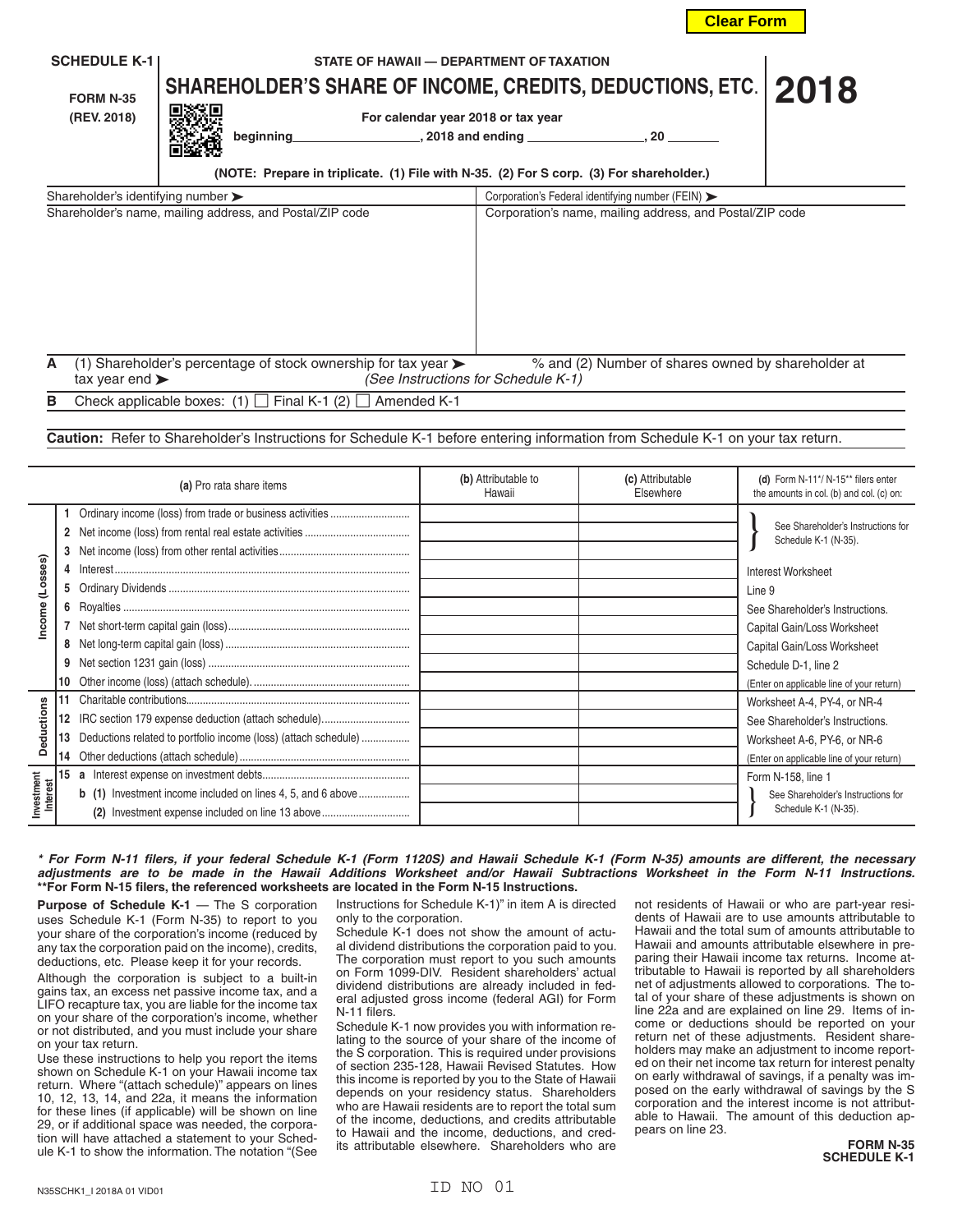| <b>SCHEDULE K-1</b><br><b>FORM N-35</b><br>(REV. 2018)                                                      | STATE OF HAWAII - DEPARTMENT OF TAXATION<br>SHAREHOLDER'S SHARE OF INCOME, CREDITS, DEDUCTIONS, ETC.   2018<br>For calendar year 2018 or tax year<br>beginning<br>(NOTE: Prepare in triplicate. (1) File with N-35. (2) For S corp. (3) For shareholder.) | $, 2018$ and ending $\qquad \qquad$<br>. 20                                               |  |  |  |
|-------------------------------------------------------------------------------------------------------------|-----------------------------------------------------------------------------------------------------------------------------------------------------------------------------------------------------------------------------------------------------------|-------------------------------------------------------------------------------------------|--|--|--|
| Shareholder's identifying number $\blacktriangleright$<br>Corporation's Federal identifying number (FEIN) > |                                                                                                                                                                                                                                                           |                                                                                           |  |  |  |
|                                                                                                             | Shareholder's name, mailing address, and Postal/ZIP code                                                                                                                                                                                                  | Corporation's name, mailing address, and Postal/ZIP code                                  |  |  |  |
| A<br>tax year end $\blacktriangleright$                                                                     | (1) Shareholder's percentage of stock ownership for tax year $\blacktriangleright$                                                                                                                                                                        | % and (2) Number of shares owned by shareholder at<br>(See Instructions for Schedule K-1) |  |  |  |

**B** Check applicable boxes:  $(1)$   $\Box$  Final K-1  $(2)$   $\Box$  Amended K-1

**Caution:** Refer to Shareholder's Instructions for Schedule K-1 before entering information from Schedule K-1 on your tax return.

| (a) Pro rata share items                    |        |                                                                                                                                                                                           | (b) Attributable to<br>Hawaii | (c) Attributable<br>Fisewhere | (d) Form N-11*/ N-15** filers enter<br>the amounts in col. (b) and col. (c) on:                                                                                                                                                                                               |
|---------------------------------------------|--------|-------------------------------------------------------------------------------------------------------------------------------------------------------------------------------------------|-------------------------------|-------------------------------|-------------------------------------------------------------------------------------------------------------------------------------------------------------------------------------------------------------------------------------------------------------------------------|
| (Losses)<br>Income                          | 4<br>5 |                                                                                                                                                                                           |                               |                               | See Shareholder's Instructions for<br>Schedule K-1 (N-35).<br><b>Interest Worksheet</b><br>Line 9<br>See Shareholder's Instructions.<br>Capital Gain/Loss Worksheet<br>Capital Gain/Loss Worksheet<br>Schedule D-1, line 2                                                    |
| <b>Deductions</b><br>Investment<br>Interest | 13     | Deductions related to portfolio income (loss) (attach schedule)<br><b>b</b> (1) Investment income included on lines 4, 5, and 6 above<br>(2) Investment expense included on line 13 above |                               |                               | (Enter on applicable line of your return)<br>Worksheet A-4, PY-4, or NR-4<br>See Shareholder's Instructions.<br>Worksheet A-6, PY-6, or NR-6<br>(Enter on applicable line of your return)<br>Form N-158, line 1<br>See Shareholder's Instructions for<br>Schedule K-1 (N-35). |

## *\* For Form N-11 filers, if your federal Schedule K-1 (Form 1120S) and Hawaii Schedule K-1 (Form N-35) amounts are different, the necessary adjustments are to be made in the Hawaii Additions Worksheet and/or Hawaii Subtractions Worksheet in the Form N-11 Instructions.* **\*\*For Form N-15 filers, the referenced worksheets are located in the Form N-15 Instructions.**

**Purpose of Schedule K-1** — The S corporation uses Schedule K-1 (Form N-35) to report to you your share of the corporation's income (reduced by any tax the corporation paid on the income), credits, deductions, etc. Please keep it for your records.

Although the corporation is subject to a built-in gains tax, an excess net passive income tax, and a LIFO recapture tax, you are liable for the income tax on your share of the corporation's income, whether or not distributed, and you must include your share on your tax return.

Use these instructions to help you report the items shown on Schedule K-1 on your Hawaii income tax return. Where "(attach schedule)" appears on lines 10, 12, 13, 14, and 22a, it means the information for these lines (if applicable) will be shown on line 29, or if additional space was needed, the corporation will have attached a statement to your Schedule K-1 to show the information. The notation "(See

Instructions for Schedule K-1)" in item A is directed only to the corporation.

Schedule K-1 does not show the amount of actual dividend distributions the corporation paid to you. The corporation must report to you such amounts on Form 1099-DIV. Resident shareholders' actual dividend distributions are already included in federal adjusted gross income (federal AGI) for Form N-11 filers.

Schedule K-1 now provides you with information relating to the source of your share of the income of the S corporation. This is required under provisions of section 235-128, Hawaii Revised Statutes. How this income is reported by you to the State of Hawaii depends on your residency status. Shareholders who are Hawaii residents are to report the total sum of the income, deductions, and credits attributable to Hawaii and the income, deductions, and credits attributable elsewhere. Shareholders who are

not residents of Hawaii or who are part-year residents of Hawaii are to use amounts attributable to Hawaii and the total sum of amounts attributable to Hawaii and amounts attributable elsewhere in preparing their Hawaii income tax returns. Income attributable to Hawaii is reported by all shareholders net of adjustments allowed to corporations. The total of your share of these adjustments is shown on line 22a and are explained on line 29. Items of income or deductions should be reported on your return net of these adjustments. Resident shareholders may make an adjustment to income reported on their net income tax return for interest penalty on early withdrawal of savings, if a penalty was imposed on the early withdrawal of savings by the S corporation and the interest income is not attributable to Hawaii. The amount of this deduction appears on line 23.

**Clear Form**